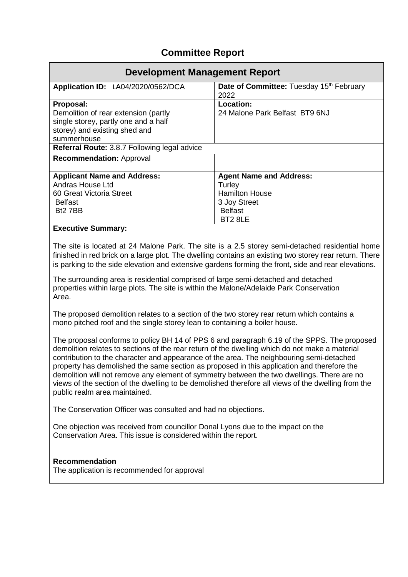## **Committee Report**

| Development Management Report                                                                                                |                                                  |  |
|------------------------------------------------------------------------------------------------------------------------------|--------------------------------------------------|--|
| Application ID: LA04/2020/0562/DCA                                                                                           | Date of Committee: Tuesday 15th February<br>2022 |  |
| Proposal:                                                                                                                    | Location:                                        |  |
| Demolition of rear extension (partly<br>single storey, partly one and a half<br>storey) and existing shed and<br>summerhouse | 24 Malone Park Belfast BT9 6NJ                   |  |
| Referral Route: 3.8.7 Following legal advice                                                                                 |                                                  |  |
| <b>Recommendation: Approval</b>                                                                                              |                                                  |  |
| <b>Applicant Name and Address:</b>                                                                                           | <b>Agent Name and Address:</b>                   |  |
| Andras House Ltd                                                                                                             | Turley                                           |  |
| 60 Great Victoria Street                                                                                                     | <b>Hamilton House</b>                            |  |
| <b>Belfast</b>                                                                                                               | 3 Joy Street                                     |  |
| B <sub>t</sub> 2 7BB                                                                                                         | <b>Belfast</b>                                   |  |
|                                                                                                                              | BT28LE                                           |  |
| <b>Executive Summary:</b>                                                                                                    |                                                  |  |

The site is located at 24 Malone Park. The site is a 2.5 storey semi-detached residential home finished in red brick on a large plot. The dwelling contains an existing two storey rear return. There is parking to the side elevation and extensive gardens forming the front, side and rear elevations.

The surrounding area is residential comprised of large semi-detached and detached properties within large plots. The site is within the Malone/Adelaide Park Conservation Area.

The proposed demolition relates to a section of the two storey rear return which contains a mono pitched roof and the single storey lean to containing a boiler house.

The proposal conforms to policy BH 14 of PPS 6 and paragraph 6.19 of the SPPS. The proposed demolition relates to sections of the rear return of the dwelling which do not make a material contribution to the character and appearance of the area. The neighbouring semi-detached property has demolished the same section as proposed in this application and therefore the demolition will not remove any element of symmetry between the two dwellings. There are no views of the section of the dwelling to be demolished therefore all views of the dwelling from the public realm area maintained.

The Conservation Officer was consulted and had no objections.

One objection was received from councillor Donal Lyons due to the impact on the Conservation Area. This issue is considered within the report.

## **Recommendation**

The application is recommended for approval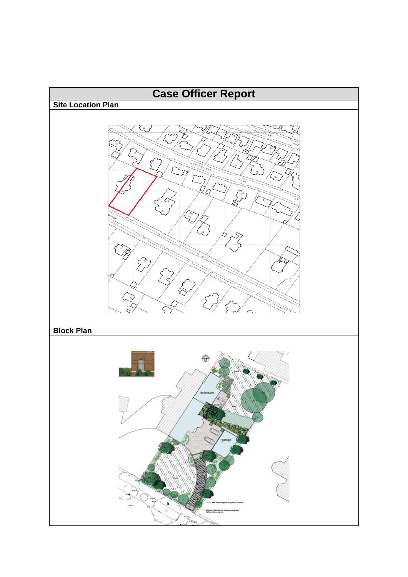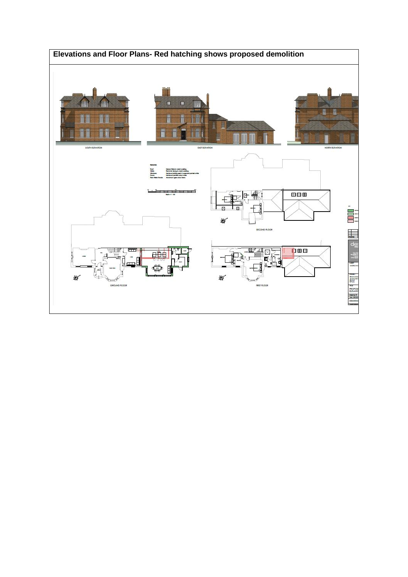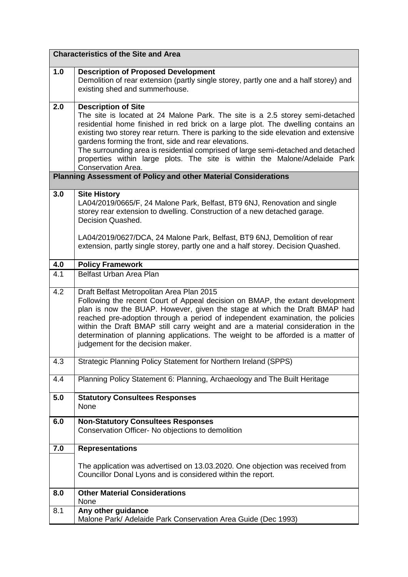|     | <b>Characteristics of the Site and Area</b>                                                                                                                                                                                                                                                                                                                                                                                                                                                                                               |  |  |
|-----|-------------------------------------------------------------------------------------------------------------------------------------------------------------------------------------------------------------------------------------------------------------------------------------------------------------------------------------------------------------------------------------------------------------------------------------------------------------------------------------------------------------------------------------------|--|--|
| 1.0 | <b>Description of Proposed Development</b><br>Demolition of rear extension (partly single storey, partly one and a half storey) and<br>existing shed and summerhouse.                                                                                                                                                                                                                                                                                                                                                                     |  |  |
| 2.0 | <b>Description of Site</b><br>The site is located at 24 Malone Park. The site is a 2.5 storey semi-detached<br>residential home finished in red brick on a large plot. The dwelling contains an<br>existing two storey rear return. There is parking to the side elevation and extensive<br>gardens forming the front, side and rear elevations.<br>The surrounding area is residential comprised of large semi-detached and detached<br>properties within large plots. The site is within the Malone/Adelaide Park<br>Conservation Area. |  |  |
|     | <b>Planning Assessment of Policy and other Material Considerations</b>                                                                                                                                                                                                                                                                                                                                                                                                                                                                    |  |  |
| 3.0 | <b>Site History</b><br>LA04/2019/0665/F, 24 Malone Park, Belfast, BT9 6NJ, Renovation and single<br>storey rear extension to dwelling. Construction of a new detached garage.<br>Decision Quashed.<br>LA04/2019/0627/DCA, 24 Malone Park, Belfast, BT9 6NJ, Demolition of rear<br>extension, partly single storey, partly one and a half storey. Decision Quashed.                                                                                                                                                                        |  |  |
| 4.0 | <b>Policy Framework</b>                                                                                                                                                                                                                                                                                                                                                                                                                                                                                                                   |  |  |
| 4.1 | Belfast Urban Area Plan                                                                                                                                                                                                                                                                                                                                                                                                                                                                                                                   |  |  |
| 4.2 | Draft Belfast Metropolitan Area Plan 2015<br>Following the recent Court of Appeal decision on BMAP, the extant development<br>plan is now the BUAP. However, given the stage at which the Draft BMAP had<br>reached pre-adoption through a period of independent examination, the policies<br>within the Draft BMAP still carry weight and are a material consideration in the<br>determination of planning applications. The weight to be afforded is a matter of<br>judgement for the decision maker.                                   |  |  |
| 4.3 | Strategic Planning Policy Statement for Northern Ireland (SPPS)                                                                                                                                                                                                                                                                                                                                                                                                                                                                           |  |  |
| 4.4 | Planning Policy Statement 6: Planning, Archaeology and The Built Heritage                                                                                                                                                                                                                                                                                                                                                                                                                                                                 |  |  |
| 5.0 | <b>Statutory Consultees Responses</b><br>None                                                                                                                                                                                                                                                                                                                                                                                                                                                                                             |  |  |
| 6.0 | <b>Non-Statutory Consultees Responses</b><br>Conservation Officer- No objections to demolition                                                                                                                                                                                                                                                                                                                                                                                                                                            |  |  |
| 7.0 | <b>Representations</b>                                                                                                                                                                                                                                                                                                                                                                                                                                                                                                                    |  |  |
|     | The application was advertised on 13.03.2020. One objection was received from<br>Councillor Donal Lyons and is considered within the report.                                                                                                                                                                                                                                                                                                                                                                                              |  |  |
| 8.0 | <b>Other Material Considerations</b><br>None                                                                                                                                                                                                                                                                                                                                                                                                                                                                                              |  |  |
| 8.1 | Any other guidance<br>Malone Park/ Adelaide Park Conservation Area Guide (Dec 1993)                                                                                                                                                                                                                                                                                                                                                                                                                                                       |  |  |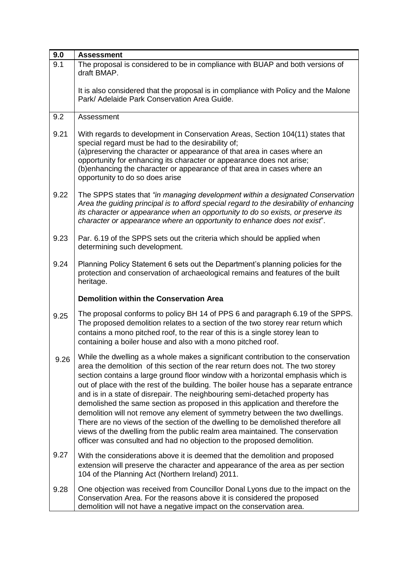| 9.0  | <b>Assessment</b>                                                                                                                                                                                                                                                                                                                                                                                                                                                                                                                                                                                                                                                                                                                                                                                                                                 |
|------|---------------------------------------------------------------------------------------------------------------------------------------------------------------------------------------------------------------------------------------------------------------------------------------------------------------------------------------------------------------------------------------------------------------------------------------------------------------------------------------------------------------------------------------------------------------------------------------------------------------------------------------------------------------------------------------------------------------------------------------------------------------------------------------------------------------------------------------------------|
| 9.1  | The proposal is considered to be in compliance with BUAP and both versions of<br>draft BMAP.                                                                                                                                                                                                                                                                                                                                                                                                                                                                                                                                                                                                                                                                                                                                                      |
|      | It is also considered that the proposal is in compliance with Policy and the Malone<br>Park/ Adelaide Park Conservation Area Guide.                                                                                                                                                                                                                                                                                                                                                                                                                                                                                                                                                                                                                                                                                                               |
| 9.2  | Assessment                                                                                                                                                                                                                                                                                                                                                                                                                                                                                                                                                                                                                                                                                                                                                                                                                                        |
| 9.21 | With regards to development in Conservation Areas, Section 104(11) states that<br>special regard must be had to the desirability of;<br>(a) preserving the character or appearance of that area in cases where an<br>opportunity for enhancing its character or appearance does not arise;<br>(b) enhancing the character or appearance of that area in cases where an<br>opportunity to do so does arise                                                                                                                                                                                                                                                                                                                                                                                                                                         |
| 9.22 | The SPPS states that "in managing development within a designated Conservation<br>Area the guiding principal is to afford special regard to the desirability of enhancing<br>its character or appearance when an opportunity to do so exists, or preserve its<br>character or appearance where an opportunity to enhance does not exist".                                                                                                                                                                                                                                                                                                                                                                                                                                                                                                         |
| 9.23 | Par. 6.19 of the SPPS sets out the criteria which should be applied when<br>determining such development.                                                                                                                                                                                                                                                                                                                                                                                                                                                                                                                                                                                                                                                                                                                                         |
| 9.24 | Planning Policy Statement 6 sets out the Department's planning policies for the<br>protection and conservation of archaeological remains and features of the built<br>heritage.                                                                                                                                                                                                                                                                                                                                                                                                                                                                                                                                                                                                                                                                   |
|      | <b>Demolition within the Conservation Area</b>                                                                                                                                                                                                                                                                                                                                                                                                                                                                                                                                                                                                                                                                                                                                                                                                    |
| 9.25 | The proposal conforms to policy BH 14 of PPS 6 and paragraph 6.19 of the SPPS.<br>The proposed demolition relates to a section of the two storey rear return which<br>contains a mono pitched roof, to the rear of this is a single storey lean to<br>containing a boiler house and also with a mono pitched roof.                                                                                                                                                                                                                                                                                                                                                                                                                                                                                                                                |
| 9.26 | While the dwelling as a whole makes a significant contribution to the conservation<br>area the demolition of this section of the rear return does not. The two storey<br>section contains a large ground floor window with a horizontal emphasis which is<br>out of place with the rest of the building. The boiler house has a separate entrance<br>and is in a state of disrepair. The neighbouring semi-detached property has<br>demolished the same section as proposed in this application and therefore the<br>demolition will not remove any element of symmetry between the two dwellings.<br>There are no views of the section of the dwelling to be demolished therefore all<br>views of the dwelling from the public realm area maintained. The conservation<br>officer was consulted and had no objection to the proposed demolition. |
| 9.27 | With the considerations above it is deemed that the demolition and proposed<br>extension will preserve the character and appearance of the area as per section<br>104 of the Planning Act (Northern Ireland) 2011.                                                                                                                                                                                                                                                                                                                                                                                                                                                                                                                                                                                                                                |
| 9.28 | One objection was received from Councillor Donal Lyons due to the impact on the<br>Conservation Area. For the reasons above it is considered the proposed<br>demolition will not have a negative impact on the conservation area.                                                                                                                                                                                                                                                                                                                                                                                                                                                                                                                                                                                                                 |